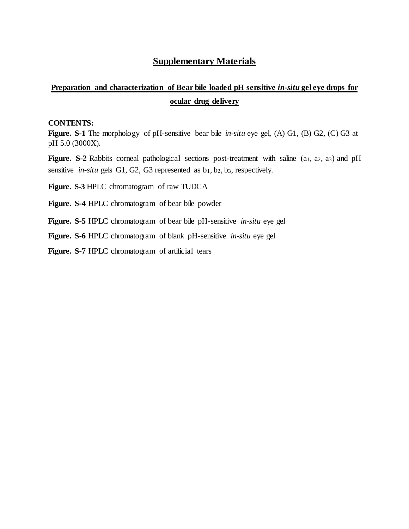## **Supplementary Materials**

## **Preparation and characterization of Bear bile loaded pH sensitive** *in-situ* **gel eye drops for ocular drug delivery**

## **CONTENTS:**

**Figure. S-1** The morphology of pH-sensitive bear bile *in-situ* eye gel, (A) G1, (B) G2, (C) G3 at pH 5.0 (3000X).

**Figure.** S-2 Rabbits corneal pathological sections post-treatment with saline (a<sub>1</sub>, a<sub>2</sub>, a<sub>3</sub>) and pH sensitive *in-situ* gels G1, G2, G3 represented as  $b_1, b_2, b_3$ , respectively.

**Figure. S-3** HPLC chromatogram of raw TUDCA

**Figure. S-4** HPLC chromatogram of bear bile powder

**Figure. S-5** HPLC chromatogram of bear bile pH-sensitive *in-situ* eye gel

**Figure. S-6** HPLC chromatogram of blank pH-sensitive *in-situ* eye gel

**Figure. S-7** HPLC chromatogram of artificial tears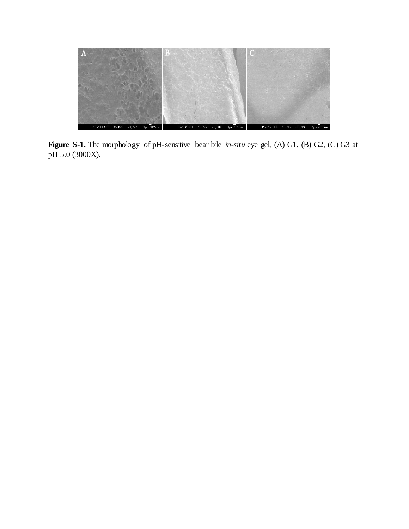

**Figure S-1.** The morphology of pH-sensitive bear bile *in-situ* eye gel, (A) G1, (B) G2, (C) G3 at pH 5.0 (3000X).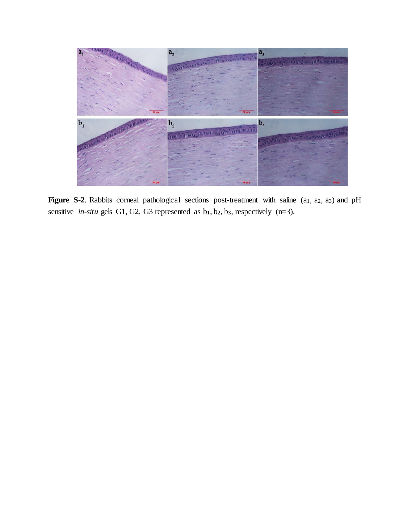

**Figure S-2**. Rabbits corneal pathological sections post-treatment with saline (a<sub>1</sub>, a<sub>2</sub>, a<sub>3</sub>) and pH sensitive *in-situ* gels G1, G2, G3 represented as  $b_1$ ,  $b_2$ ,  $b_3$ , respectively (n=3).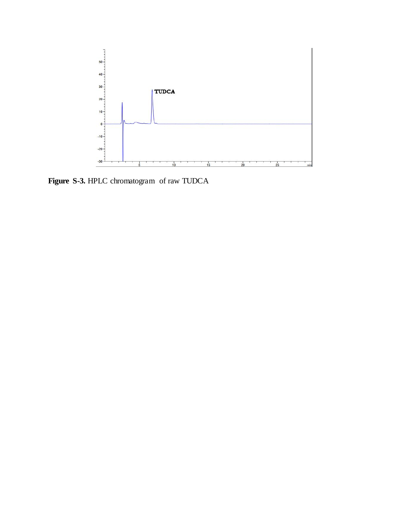

**Figure S-3***.* HPLC chromatogram of raw TUDCA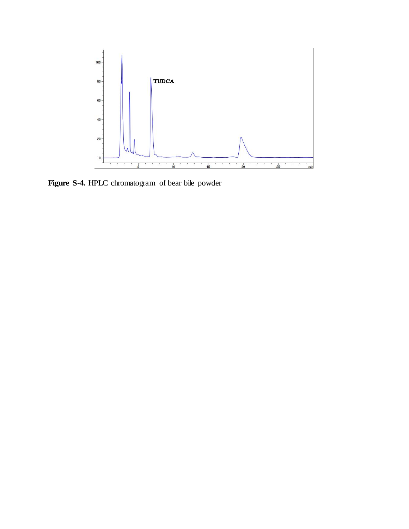

**Figure S-4.** HPLC chromatogram of bear bile powder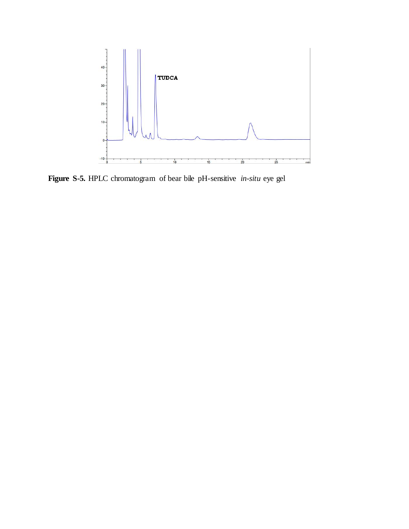

**Figure S-5***.* HPLC chromatogram of bear bile pH-sensitive *in-situ* eye gel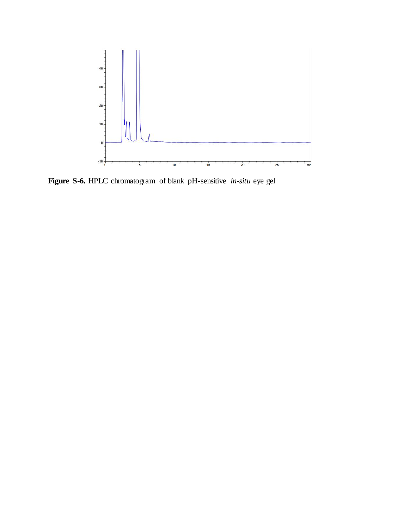

**Figure S-6***.* HPLC chromatogram of blank pH-sensitive *in-situ* eye gel